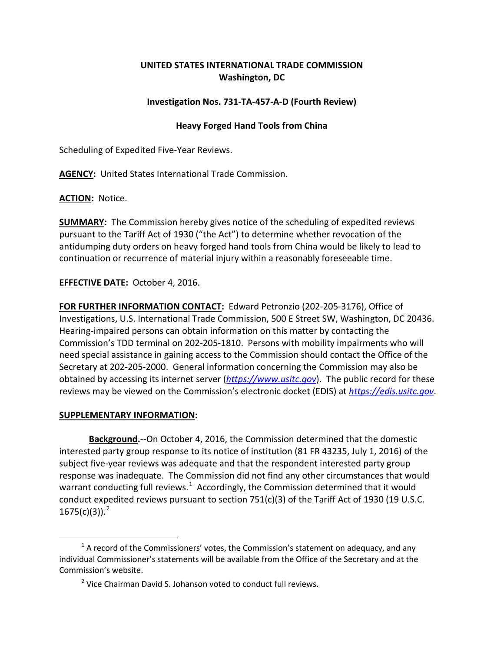## **UNITED STATES INTERNATIONAL TRADE COMMISSION Washington, DC**

## **Investigation Nos. 731-TA-457-A-D (Fourth Review)**

## **Heavy Forged Hand Tools from China**

Scheduling of Expedited Five-Year Reviews.

**AGENCY:** United States International Trade Commission.

**ACTION:** Notice.

**SUMMARY:** The Commission hereby gives notice of the scheduling of expedited reviews pursuant to the Tariff Act of 1930 ("the Act") to determine whether revocation of the antidumping duty orders on heavy forged hand tools from China would be likely to lead to continuation or recurrence of material injury within a reasonably foreseeable time.

**EFFECTIVE DATE:** October 4, 2016.

**FOR FURTHER INFORMATION CONTACT:** Edward Petronzio (202-205-3176), Office of Investigations, U.S. International Trade Commission, 500 E Street SW, Washington, DC 20436. Hearing-impaired persons can obtain information on this matter by contacting the Commission's TDD terminal on 202-205-1810. Persons with mobility impairments who will need special assistance in gaining access to the Commission should contact the Office of the Secretary at 202-205-2000. General information concerning the Commission may also be obtained by accessing its internet server (*[https://www.usitc.gov](https://www.usitc.gov/)*). The public record for these reviews may be viewed on the Commission's electronic docket (EDIS) at *[https://edis.usitc.gov](https://edis.usitc.gov/)*.

## **SUPPLEMENTARY INFORMATION:**

 $\overline{a}$ 

**Background.**--On October 4, 2016, the Commission determined that the domestic interested party group response to its notice of institution (81 FR 43235, July 1, 2016) of the subject five-year reviews was adequate and that the respondent interested party group response was inadequate. The Commission did not find any other circumstances that would warrant conducting full reviews.<sup>[1](#page-0-0)</sup> Accordingly, the Commission determined that it would conduct expedited reviews pursuant to section 751(c)(3) of the Tariff Act of 1930 (19 U.S.C.  $1675(c)(3)$ ).<sup>[2](#page-0-1)</sup>

<span id="page-0-1"></span><span id="page-0-0"></span> $1$  A record of the Commissioners' votes, the Commission's statement on adequacy, and any individual Commissioner's statements will be available from the Office of the Secretary and at the Commission's website.

<sup>&</sup>lt;sup>2</sup> Vice Chairman David S. Johanson voted to conduct full reviews.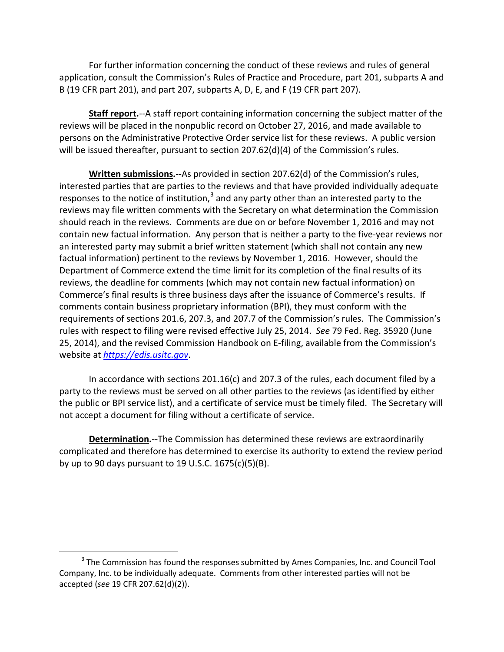For further information concerning the conduct of these reviews and rules of general application, consult the Commission's Rules of Practice and Procedure, part 201, subparts A and B (19 CFR part 201), and part 207, subparts A, D, E, and F (19 CFR part 207).

**Staff report.**--A staff report containing information concerning the subject matter of the reviews will be placed in the nonpublic record on October 27, 2016, and made available to persons on the Administrative Protective Order service list for these reviews. A public version will be issued thereafter, pursuant to section 207.62(d)(4) of the Commission's rules.

**Written submissions.**--As provided in section 207.62(d) of the Commission's rules, interested parties that are parties to the reviews and that have provided individually adequate responses to the notice of institution, $3$  and any party other than an interested party to the reviews may file written comments with the Secretary on what determination the Commission should reach in the reviews. Comments are due on or before November 1, 2016 and may not contain new factual information. Any person that is neither a party to the five-year reviews nor an interested party may submit a brief written statement (which shall not contain any new factual information) pertinent to the reviews by November 1, 2016. However, should the Department of Commerce extend the time limit for its completion of the final results of its reviews, the deadline for comments (which may not contain new factual information) on Commerce's final results is three business days after the issuance of Commerce's results. If comments contain business proprietary information (BPI), they must conform with the requirements of sections 201.6, 207.3, and 207.7 of the Commission's rules. The Commission's rules with respect to filing were revised effective July 25, 2014. *See* 79 Fed. Reg. 35920 (June 25, 2014), and the revised Commission Handbook on E-filing, available from the Commission's website at *[https://edis.usitc.gov](https://edis.usitc.gov/)*.

In accordance with sections 201.16(c) and 207.3 of the rules, each document filed by a party to the reviews must be served on all other parties to the reviews (as identified by either the public or BPI service list), and a certificate of service must be timely filed. The Secretary will not accept a document for filing without a certificate of service.

**Determination.**--The Commission has determined these reviews are extraordinarily complicated and therefore has determined to exercise its authority to extend the review period by up to 90 days pursuant to 19 U.S.C. 1675(c)(5)(B).

 $\overline{a}$ 

<span id="page-1-0"></span><sup>&</sup>lt;sup>3</sup> The Commission has found the responses submitted by Ames Companies, Inc. and Council Tool Company, Inc. to be individually adequate. Comments from other interested parties will not be accepted (*see* 19 CFR 207.62(d)(2)).